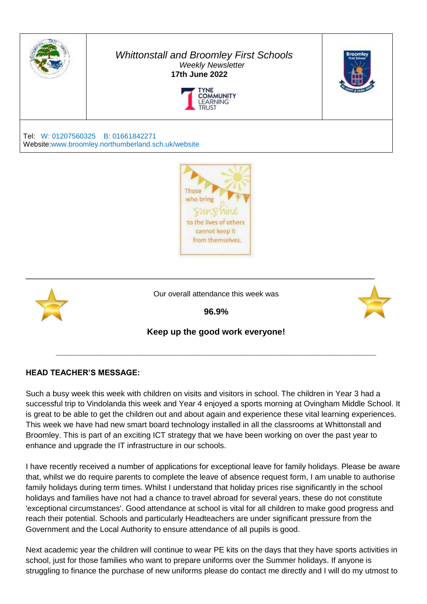

#### *Whittonstall and Broomley First Schools Weekly Newsletter*   **17th June 2022**





Tel: W: 01207560325 B: 01661842271 Website:www.broomley.northumberland.sch.uk/website





#### **HEAD TEACHER'S MESSAGE:**

Such a busy week this week with children on visits and visitors in school. The children in Year 3 had a successful trip to Vindolanda this week and Year 4 enjoyed a sports morning at Ovingham Middle School. It is great to be able to get the children out and about again and experience these vital learning experiences. This week we have had new smart board technology installed in all the classrooms at Whittonstall and Broomley. This is part of an exciting ICT strategy that we have been working on over the past year to enhance and upgrade the IT infrastructure in our schools.

I have recently received a number of applications for exceptional leave for family holidays. Please be aware that, whilst we do require parents to complete the leave of absence request form, I am unable to authorise family holidays during term times. Whilst I understand that holiday prices rise significantly in the school holidays and families have not had a chance to travel abroad for several years, these do not constitute 'exceptional circumstances'. Good attendance at school is vital for all children to make good progress and reach their potential. Schools and particularly Headteachers are under significant pressure from the Government and the Local Authority to ensure attendance of all pupils is good.

Next academic year the children will continue to wear PE kits on the days that they have sports activities in school, just for those families who want to prepare uniforms over the Summer holidays. If anyone is struggling to finance the purchase of new uniforms please do contact me directly and I will do my utmost to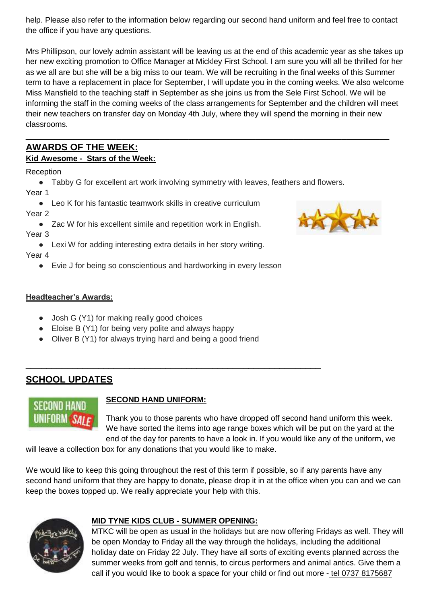help. Please also refer to the information below regarding our second hand uniform and feel free to contact the office if you have any questions.

Mrs Phillipson, our lovely admin assistant will be leaving us at the end of this academic year as she takes up her new exciting promotion to Office Manager at Mickley First School. I am sure you will all be thrilled for her as we all are but she will be a big miss to our team. We will be recruiting in the final weeks of this Summer term to have a replacement in place for September, I will update you in the coming weeks. We also welcome Miss Mansfield to the teaching staff in September as she joins us from the Sele First School. We will be informing the staff in the coming weeks of the class arrangements for September and the children will meet their new teachers on transfer day on Monday 4th July, where they will spend the morning in their new classrooms.

\_\_\_\_\_\_\_\_\_\_\_\_\_\_\_\_\_\_\_\_\_\_\_\_\_\_\_\_\_\_\_\_\_\_\_\_\_\_\_\_\_\_\_\_\_\_\_\_\_\_\_\_\_\_\_\_\_\_\_\_\_\_\_\_\_\_\_\_\_\_\_\_\_\_\_\_

## **AWARDS OF THE WEEK:**

## **Kid Awesome - Stars of the Week:**

Reception

● Tabby G for excellent art work involving symmetry with leaves, feathers and flowers. Year 1

● Leo K for his fantastic teamwork skills in creative curriculum Year 2

● Zac W for his excellent simile and repetition work in English. Year 3

● Lexi W for adding interesting extra details in her story writing.

Year 4

● Evie J for being so conscientious and hardworking in every lesson

## **Headteacher's Awards:**

- Josh G (Y1) for making really good choices
- Eloise B (Y1) for being very polite and always happy
- Oliver B (Y1) for always trying hard and being a good friend

## **SCHOOL UPDATES**



## **SECOND HAND UNIFORM:**

\_\_\_\_\_\_\_\_\_\_\_\_\_\_\_\_\_\_\_\_\_\_\_\_\_\_\_\_\_\_\_\_\_\_\_\_\_\_\_\_\_\_\_\_\_\_\_\_\_\_\_\_\_\_\_\_\_

Thank you to those parents who have dropped off second hand uniform this week. We have sorted the items into age range boxes which will be put on the yard at the end of the day for parents to have a look in. If you would like any of the uniform, we

will leave a collection box for any donations that you would like to make.

We would like to keep this going throughout the rest of this term if possible, so if any parents have any second hand uniform that they are happy to donate, please drop it in at the office when you can and we can keep the boxes topped up. We really appreciate your help with this.



## **MID TYNE KIDS CLUB - SUMMER OPENING:**

MTKC will be open as usual in the holidays but are now offering Fridays as well. They will be open Monday to Friday all the way through the holidays, including the additional holiday date on Friday 22 July. They have all sorts of exciting events planned across the summer weeks from golf and tennis, to circus performers and animal antics. Give them a call if you would like to book a space for your child or find out more - tel 0737 8175687

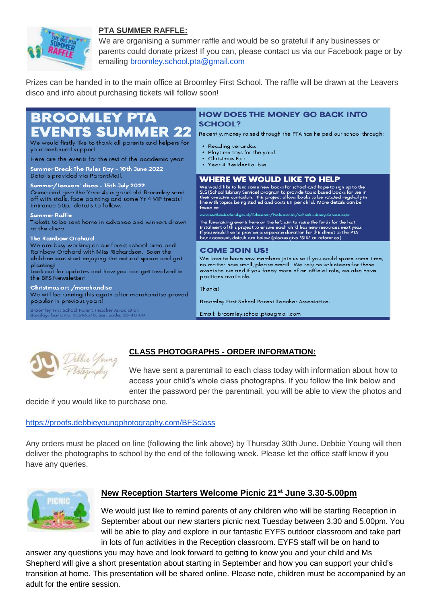

#### **PTA SUMMER RAFFLE:**

We are organising a summer raffle and would be so grateful if any businesses or parents could donate prizes! If you can, please contact us via our Facebook page or by emailing broomley.school.pta@gmail.com

Prizes can be handed in to the main office at Broomley First School. The raffle will be drawn at the Leavers disco and info about purchasing tickets will follow soon!

#### **BROOMLEY PTA SCHOOL? /ENTS SUMMER 22** Recently, money raised through the PTA has helped our school through: We would firstly like to thank all parents and helpers for • Reading verandas your continued support.  $\bullet$ Playtime toys for the yard Christmas Fair Here are the events for the rest of the academic year: · Year 4 Residential bus Summer Break The Rules Day - 10th June 2022 Details provided via ParentMail. **WHERE WE WOULD LIKE TO HELP** Summer/Leavers' disco - 15th July 2022 We would like to fund some new books for school and hope to sign up to the Its (School Library Service) program to provide topic based books for use in<br>their creative curriculum. This project allows books to be rotated regularly in<br>line with topics being studied and costs £11 per child. More deta Come and give the Year 4s a good old Broomley send off with stalls, face painting and some Yr 4 VIP treats! Entrance 50p, details to follow. found at: **Summer Raffle** uk/Education/Professionals/Sche The fundraising events here on the left aim to raise the funds for the last<br>instalment of this project to ensure each child has new resources next yea<br>If you would like to provide a separate donation for this direct to the Tickets to be sent home in advance and winners drawn at the disco. The Rainbow Orchard We are busy working on our forest school area and **COME JOIN US!** Rainbow Orchard with Miss Richardson. Soon the We love to have new members join us so if you could spare some time, children can start enjoying the natural space and get no matter how small, please email. We rely on volunteers for these planting! .<br>Look out for updates and how you can get involved in events to run and if you fancy more of an official role, we also have positions available. the BFS Newsletter! Christmas art /merchandise Thanksl We will be running this again after merchandise proved popular in previous years! Broomley First School Parent Teacher Association. **Broomley First School Parent Teacher Association** Email: broomley.school.pta@gmail.com clays bank, Ac: 40396540, Sort code: 20-40-09



## **CLASS PHOTOGRAPHS - ORDER INFORMATION:**

We have sent a parentmail to each class today with information about how to access your child's whole class photographs. If you follow the link below and enter the password per the parentmail, you will be able to view the photos and

decide if you would like to purchase one.

#### <https://proofs.debbieyoungphotography.com/BFSclass>

Any orders must be placed on line (following the link above) by Thursday 30th June. Debbie Young will then deliver the photographs to school by the end of the following week. Please let the office staff know if you have any queries.



## **New Reception Starters Welcome Picnic 21st June 3.30-5.00pm**

We would just like to remind parents of any children who will be starting Reception in September about our new starters picnic next Tuesday between 3.30 and 5.00pm. You will be able to play and explore in our fantastic EYFS outdoor classroom and take part in lots of fun activities in the Reception classroom. EYFS staff will be on hand to

answer any questions you may have and look forward to getting to know you and your child and Ms Shepherd will give a short presentation about starting in September and how you can support your child's transition at home. This presentation will be shared online. Please note, children must be accompanied by an adult for the entire session.

# **HOW DOES THE MONEY GO BACK INTO**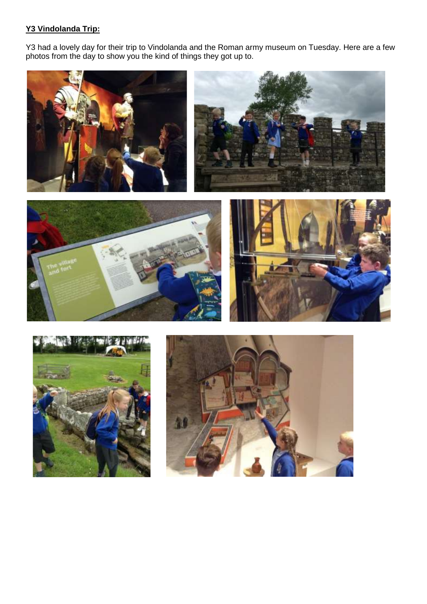### **Y3 Vindolanda Trip:**

Y3 had a lovely day for their trip to Vindolanda and the Roman army museum on Tuesday. Here are a few photos from the day to show you the kind of things they got up to.









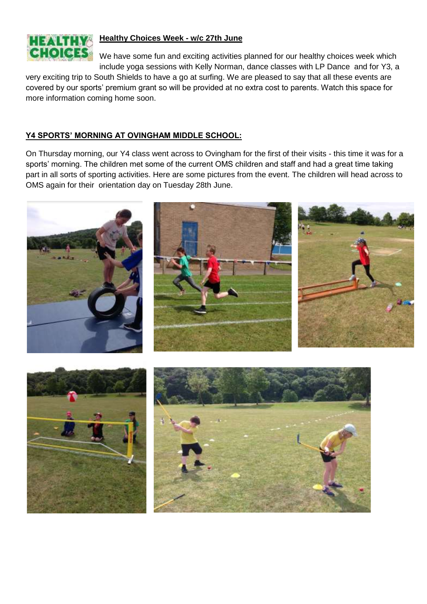

#### **Healthy Choices Week - w/c 27th June**

We have some fun and exciting activities planned for our healthy choices week which include yoga sessions with Kelly Norman, dance classes with LP Dance and for Y3, a

very exciting trip to South Shields to have a go at surfing. We are pleased to say that all these events are covered by our sports' premium grant so will be provided at no extra cost to parents. Watch this space for more information coming home soon.

#### **Y4 SPORTS' MORNING AT OVINGHAM MIDDLE SCHOOL:**

On Thursday morning, our Y4 class went across to Ovingham for the first of their visits - this time it was for a sports' morning. The children met some of the current OMS children and staff and had a great time taking part in all sorts of sporting activities. Here are some pictures from the event. The children will head across to OMS again for their orientation day on Tuesday 28th June.